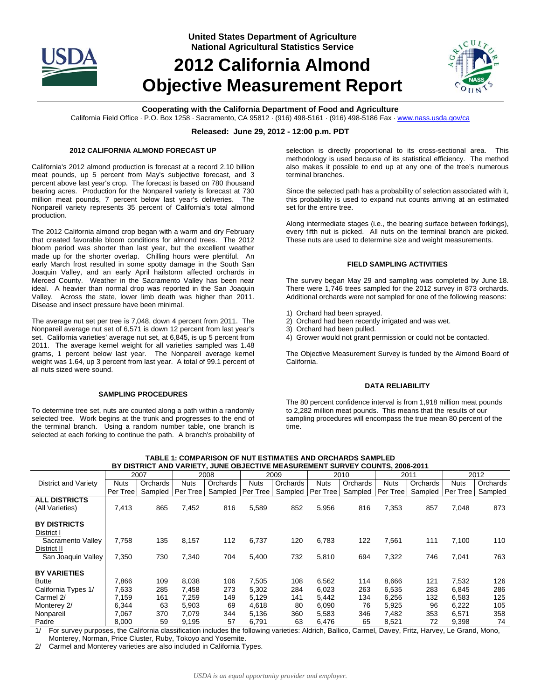

**United States Department of Agriculture National Agricultural Statistics Service**

# **2012 California Almond Objective Measurement Report**



# **Cooperating with the California Department of Food and Agriculture**

California Field Office · P.O. Box 1258 · Sacramento, CA 95812 · (916) 498-5161 · (916) 498-5186 Fax · www.nass.usda.gov/ca

### **Released: June 29, 2012 - 12:00 p.m. PDT**

#### **2012 CALIFORNIA ALMOND FORECAST UP**

California's 2012 almond production is forecast at a record 2.10 billion meat pounds, up 5 percent from May's subjective forecast, and 3 percent above last year's crop. The forecast is based on 780 thousand bearing acres. Production for the Nonpareil variety is forecast at 730 million meat pounds, 7 percent below last year's deliveries. The Nonpareil variety represents 35 percent of California's total almond production.

The 2012 California almond crop began with a warm and dry February that created favorable bloom conditions for almond trees. The 2012 bloom period was shorter than last year, but the excellent weather made up for the shorter overlap. Chilling hours were plentiful. An early March frost resulted in some spotty damage in the South San Joaquin Valley, and an early April hailstorm affected orchards in Merced County. Weather in the Sacramento Valley has been near ideal. A heavier than normal drop was reported in the San Joaquin Valley. Across the state, lower limb death was higher than 2011. Disease and insect pressure have been minimal.

The average nut set per tree is 7,048, down 4 percent from 2011. The Nonpareil average nut set of 6,571 is down 12 percent from last year's set. California varieties' average nut set, at 6,845, is up 5 percent from 2011. The average kernel weight for all varieties sampled was 1.48 grams, 1 percent below last year. The Nonpareil average kernel weight was 1.64, up 3 percent from last year. A total of 99.1 percent of all nuts sized were sound.

#### **SAMPLING PROCEDURES**

To determine tree set, nuts are counted along a path within a randomly selected tree. Work begins at the trunk and progresses to the end of the terminal branch. Using a random number table, one branch is selected at each forking to continue the path. A branch's probability of

selection is directly proportional to its cross-sectional area. This methodology is used because of its statistical efficiency. The method also makes it possible to end up at any one of the tree's numerous terminal branches.

Since the selected path has a probability of selection associated with it, this probability is used to expand nut counts arriving at an estimated set for the entire tree.

Along intermediate stages (i.e., the bearing surface between forkings), every fifth nut is picked. All nuts on the terminal branch are picked. These nuts are used to determine size and weight measurements.

## **FIELD SAMPLING ACTIVITIES**

The survey began May 29 and sampling was completed by June 18. There were 1,746 trees sampled for the 2012 survey in 873 orchards. Additional orchards were not sampled for one of the following reasons:

- 1) Orchard had been sprayed.
- 2) Orchard had been recently irrigated and was wet.
- 3) Orchard had been pulled.
- 4) Grower would not grant permission or could not be contacted.

The Objective Measurement Survey is funded by the Almond Board of California.

#### **DATA RELIABILITY**

The 80 percent confidence interval is from 1,918 million meat pounds to 2,282 million meat pounds. This means that the results of our sampling procedures will encompass the true mean 80 percent of the time.

| BY DISTRICT AND VARIETY, JUNE OBJECTIVE MEASUREMENT SURVEY COUNTS, 2006-2011                                                                                                                                                                                          |             |                    |             |          |             |                    |             |                    |             |                    |             |          |
|-----------------------------------------------------------------------------------------------------------------------------------------------------------------------------------------------------------------------------------------------------------------------|-------------|--------------------|-------------|----------|-------------|--------------------|-------------|--------------------|-------------|--------------------|-------------|----------|
|                                                                                                                                                                                                                                                                       | 2007        |                    | 2008        |          | 2009        |                    | 2010        |                    | 2011        |                    | 2012        |          |
| District and Variety                                                                                                                                                                                                                                                  | <b>Nuts</b> | Orchards           | <b>Nuts</b> | Orchards | <b>Nuts</b> | Orchards           | <b>Nuts</b> | Orchards           | <b>Nuts</b> | Orchards           | <b>Nuts</b> | Orchards |
|                                                                                                                                                                                                                                                                       | Per Tree    | Sampled   Per Tree |             | Sampled  | Per Tree    | Sampled   Per Tree |             | Sampled   Per Tree |             | Sampled   Per Tree |             | Sampled  |
| <b>ALL DISTRICTS</b>                                                                                                                                                                                                                                                  |             |                    |             |          |             |                    |             |                    |             |                    |             |          |
| (All Varieties)                                                                                                                                                                                                                                                       | 7,413       | 865                | 7,452       | 816      | 5,589       | 852                | 5,956       | 816                | 7,353       | 857                | 7,048       | 873      |
|                                                                                                                                                                                                                                                                       |             |                    |             |          |             |                    |             |                    |             |                    |             |          |
| <b>BY DISTRICTS</b>                                                                                                                                                                                                                                                   |             |                    |             |          |             |                    |             |                    |             |                    |             |          |
| District I                                                                                                                                                                                                                                                            |             |                    |             |          |             |                    |             |                    |             |                    |             |          |
| Sacramento Valley                                                                                                                                                                                                                                                     | 7,758       | 135                | 8,157       | 112      | 6,737       | 120                | 6,783       | 122                | 7,561       | 111                | 7,100       | 110      |
| District II                                                                                                                                                                                                                                                           |             |                    |             |          |             |                    |             |                    |             |                    |             |          |
| San Joaquin Valley                                                                                                                                                                                                                                                    | 7,350       | 730                | 7,340       | 704      | 5,400       | 732                | 5,810       | 694                | 7,322       | 746                | 7,041       | 763      |
|                                                                                                                                                                                                                                                                       |             |                    |             |          |             |                    |             |                    |             |                    |             |          |
| <b>BY VARIETIES</b>                                                                                                                                                                                                                                                   |             |                    |             |          |             |                    |             |                    |             |                    |             |          |
| <b>Butte</b>                                                                                                                                                                                                                                                          | 7,866       | 109                | 8,038       | 106      | 7,505       | 108                | 6,562       | 114                | 8,666       | 121                | 7,532       | 126      |
| California Types 1/                                                                                                                                                                                                                                                   | 7,633       | 285                | 7,458       | 273      | 5,302       | 284                | 6,023       | 263                | 6,535       | 283                | 6,845       | 286      |
| Carmel 2/                                                                                                                                                                                                                                                             | 7.159       | 161                | 7.259       | 149      | 5,129       | 141                | 5.442       | 134                | 6,256       | 132                | 6,583       | 125      |
| Monterey 2/                                                                                                                                                                                                                                                           | 6.344       | 63                 | 5,903       | 69       | 4,618       | 80                 | 6,090       | 76                 | 5,925       | 96                 | 6,222       | 105      |
| Nonpareil                                                                                                                                                                                                                                                             | 7.067       | 370                | 7.079       | 344      | 5,136       | 360                | 5.583       | 346                | 7.482       | 353                | 6,571       | 358      |
| Padre                                                                                                                                                                                                                                                                 | 8,000       | 59                 | 9,195       | 57       | 6,791       | 63                 | 6,476       | 65                 | 8,521       | 72                 | 9,398       | 74       |
| the Oalthania chanitization includes the following waisting. Alabah, Dallies, Oamsel, Dawey, Edito, Hamey, H.a. Omand, Mana<br>$41$ F = $\frac{1}{2}$ = $\frac{1}{2}$ = $\frac{1}{2}$ = $\frac{1}{2}$ = $\frac{1}{2}$ = $\frac{1}{2}$ = $\frac{1}{2}$ = $\frac{1}{2}$ |             |                    |             |          |             |                    |             |                    |             |                    |             |          |

**TABLE 1: COMPARISON OF NUT ESTIMATES AND ORCHARDS SAMPLED** 

1/ For survey purposes, the California classification includes the following varieties: Aldrich, Ballico, Carmel, Davey, Fritz, Harvey, Le Grand, Mono, Monterey, Norman, Price Cluster, Ruby, Tokoyo and Yosemite.

2/ Carmel and Monterey varieties are also included in California Types.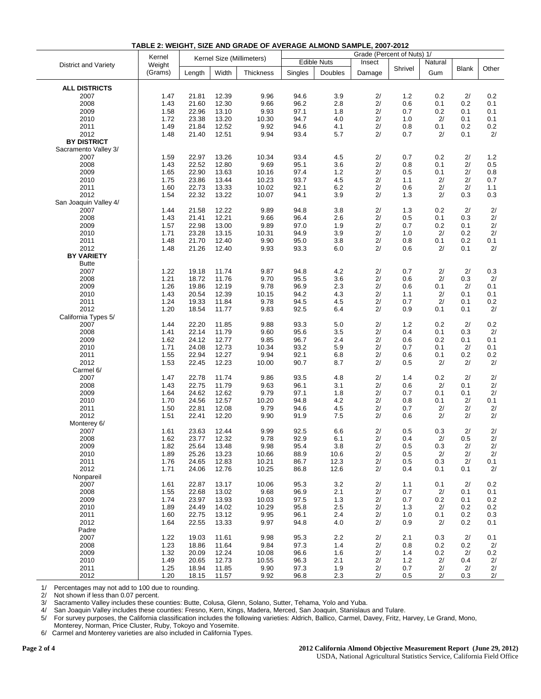|                       | Kernel  |                           | Grade (Percent of Nuts) 1/ |                  |                    |         |        |         |         |              |       |
|-----------------------|---------|---------------------------|----------------------------|------------------|--------------------|---------|--------|---------|---------|--------------|-------|
| District and Variety  | Weight  | Kernel Size (Millimeters) |                            |                  | <b>Edible Nuts</b> |         | Insect |         | Natural |              |       |
|                       | (Grams) | Length                    | Width                      | <b>Thickness</b> | Singles            | Doubles | Damage | Shrivel | Gum     | <b>Blank</b> | Other |
|                       |         |                           |                            |                  |                    |         |        |         |         |              |       |
| <b>ALL DISTRICTS</b>  |         |                           |                            |                  |                    |         |        |         |         |              |       |
| 2007                  | 1.47    | 21.81                     | 12.39                      | 9.96             | 94.6               | 3.9     | 2/     | 1.2     | 0.2     | 2/           | 0.2   |
| 2008                  | 1.43    | 21.60                     | 12.30                      | 9.66             | 96.2               | 2.8     | 2/     | 0.6     | 0.1     | 0.2          | 0.1   |
|                       |         |                           |                            |                  | 97.1               |         | 2/     |         |         | 0.1          | 0.1   |
| 2009                  | 1.58    | 22.96                     | 13.10                      | 9.93             |                    | 1.8     |        | 0.7     | 0.2     |              |       |
| 2010                  | 1.72    | 23.38                     | 13.20                      | 10.30            | 94.7               | 4.0     | 2/     | 1.0     | 2/      | 0.1          | 0.1   |
| 2011                  | 1.49    | 21.84                     | 12.52                      | 9.92             | 94.6               | 4.1     | 2/     | 0.8     | 0.1     | 0.2          | 0.2   |
| 2012                  | 1.48    | 21.40                     | 12.51                      | 9.94             | 93.4               | 5.7     | 2/     | 0.7     | 2/      | 0.1          | 2/    |
| <b>BY DISTRICT</b>    |         |                           |                            |                  |                    |         |        |         |         |              |       |
| Sacramento Valley 3/  |         |                           |                            |                  |                    |         |        |         |         |              |       |
| 2007                  | 1.59    | 22.97                     | 13.26                      | 10.34            | 93.4               | 4.5     | 2/     | 0.7     | 0.2     | 2/           | 1.2   |
| 2008                  | 1.43    | 22.52                     | 12.80                      | 9.69             | 95.1               | 3.6     | $2/$   | 0.8     | 0.1     | 2/           | 0.5   |
| 2009                  | 1.65    | 22.90                     | 13.63                      | 10.16            | 97.4               | 1.2     | 2/     | 0.5     | 0.1     | 2/           | 0.8   |
| 2010                  | 1.75    | 23.86                     | 13.44                      | 10.23            | 93.7               | 4.5     | 2/     | 1.1     | 2/      | 2/           | 0.7   |
| 2011                  | 1.60    | 22.73                     | 13.33                      | 10.02            | 92.1               | $6.2\,$ | $2/$   | 0.6     | 2/      | 2/           | 1.1   |
| 2012                  | 1.54    | 22.32                     | 13.22                      | 10.07            | 94.1               | 3.9     | 2/     | 1.3     | 2/      | 0.3          | 0.3   |
| San Joaquin Valley 4/ |         |                           |                            |                  |                    |         |        |         |         |              |       |
| 2007                  | 1.44    | 21.58                     | 12.22                      | 9.89             | 94.8               | 3.8     | $2/$   | 1.3     | 0.2     | 2/           | 2/    |
| 2008                  | 1.43    | 21.41                     | 12.21                      | 9.66             | 96.4               | 2.6     | $2/$   | 0.5     | 0.1     | 0.3          | $2/$  |
|                       |         |                           |                            |                  |                    |         |        |         |         |              |       |
| 2009                  | 1.57    | 22.98                     | 13.00                      | 9.89             | 97.0               | 1.9     | 2/     | 0.7     | 0.2     | 0.1          | 2/    |
| 2010                  | 1.71    | 23.28                     | 13.15                      | 10.31            | 94.9               | 3.9     | 2/     | 1.0     | 2/      | 0.2          | $2/$  |
| 2011                  | 1.48    | 21.70                     | 12.40                      | 9.90             | 95.0               | 3.8     | 2/     | 0.8     | 0.1     | 0.2          | 0.1   |
| 2012                  | 1.48    | 21.26                     | 12.40                      | 9.93             | 93.3               | 6.0     | 2/     | 0.6     | 2/      | 0.1          | 2/    |
| <b>BY VARIETY</b>     |         |                           |                            |                  |                    |         |        |         |         |              |       |
| <b>Butte</b>          |         |                           |                            |                  |                    |         |        |         |         |              |       |
| 2007                  | 1.22    | 19.18                     | 11.74                      | 9.87             | 94.8               | 4.2     | $2/$   | 0.7     | 2/      | 2/           | 0.3   |
| 2008                  | 1.21    | 18.72                     | 11.76                      | 9.70             | 95.5               | 3.6     | $2/$   | 0.6     | 2/      | 0.3          | 2/    |
| 2009                  | 1.26    | 19.86                     | 12.19                      | 9.78             | 96.9               | 2.3     | 2/     | 0.6     | 0.1     | 2/           | 0.1   |
| 2010                  | 1.43    | 20.54                     | 12.39                      | 10.15            | 94.2               | 4.3     | 2/     | 1.1     | 2/      | 0.1          | 0.1   |
| 2011                  | 1.24    | 19.33                     | 11.84                      | 9.78             | 94.5               | 4.5     | 2/     | 0.7     | 2/      | 0.1          | 0.2   |
| 2012                  | 1.20    | 18.54                     | 11.77                      | 9.83             | 92.5               | 6.4     | 2/     | 0.9     | 0.1     | 0.1          | 2/    |
| California Types 5/   |         |                           |                            |                  |                    |         |        |         |         |              |       |
| 2007                  | 1.44    | 22.20                     | 11.85                      | 9.88             | 93.3               | $5.0$   | $2/$   | 1.2     | 0.2     | 2/           | 0.2   |
| 2008                  | 1.41    | 22.14                     | 11.79                      | 9.60             | 95.6               | 3.5     | $2/$   | 0.4     | 0.1     | 0.3          | 2/    |
| 2009                  | 1.62    | 24.12                     | 12.77                      | 9.85             | 96.7               | 2.4     | $2/$   | 0.6     | 0.2     | 0.1          | 0.1   |
| 2010                  | 1.71    | 24.08                     | 12.73                      | 10.34            | 93.2               | 5.9     | 2/     | 0.7     | 0.1     | 2/           | 0.1   |
| 2011                  |         | 22.94                     | 12.27                      | 9.94             | 92.1               | 6.8     | 2/     | 0.6     |         | 0.2          | 0.2   |
|                       | 1.55    |                           |                            |                  |                    |         | 2/     |         | 0.1     |              |       |
| 2012                  | 1.53    | 22.45                     | 12.23                      | 10.00            | 90.7               | 8.7     |        | 0.5     | 2/      | 2/           | 2/    |
| Carmel 6/             |         |                           |                            |                  |                    |         |        |         |         |              |       |
| 2007                  | 1.47    | 22.78                     | 11.74                      | 9.86             | 93.5               | 4.8     | 2/     | 1.4     | 0.2     | 2/           | 2/    |
| 2008                  | 1.43    | 22.75                     | 11.79                      | 9.63             | 96.1               | 3.1     | 2/     | 0.6     | 2/      | 0.1          | 2/    |
| 2009                  | 1.64    | 24.62                     | 12.62                      | 9.79             | 97.1               | 1.8     | 2/     | 0.7     | 0.1     | 0.1          | 2/    |
| 2010                  | 1.70    | 24.56                     | 12.57                      | 10.20            | 94.8               | 4.2     | 2/     | 0.8     | 0.1     | 2/           | 0.1   |
| 2011                  | 1.50    | 22.81                     | 12.08                      | 9.79             | 94.6               | 4.5     | 2/     | 0.7     | 2/      | 2/           | 2/    |
| 2012                  | 1.51    | 22.41                     | 12.20                      | 9.90             | 91.9               | 7.5     | 2/     | 0.6     | 2/      | 2/           | 2/    |
| Monterey 6/           |         |                           |                            |                  |                    |         |        |         |         |              |       |
| 2007                  | 1.61    | 23.63                     | 12.44                      | 9.99             | 92.5               | 6.6     | 2/     | 0.5     | 0.3     | 2/           | 2/    |
| 2008                  | 1.62    | 23.77                     | 12.32                      | 9.78             | 92.9               | 6.1     | 2/     | 0.4     | 2/      | 0.5          | 2/    |
| 2009                  | 1.82    | 25.64                     | 13.48                      | 9.98             | 95.4               | 3.8     | 2/     | 0.5     | $0.3\,$ | 2/           | 2/    |
| 2010                  | 1.89    | 25.26                     | 13.23                      | 10.66            | 88.9               | 10.6    | 2/     | 0.5     | 2/      | 2/           | 2/    |
| 2011                  | 1.76    | 24.65                     | 12.83                      | 10.21            | 86.7               | 12.3    | 2/     | 0.5     | 0.3     | 2/           | 0.1   |
| 2012                  | 1.71    | 24.06                     | 12.76                      | 10.25            | 86.8               | 12.6    | 2/     | 0.4     | 0.1     | 0.1          | 2/    |
| Nonpareil             |         |                           |                            |                  |                    |         |        |         |         |              |       |
| 2007                  | 1.61    | 22.87                     | 13.17                      | 10.06            | 95.3               | 3.2     | 2/     | 1.1     | 0.1     | 2/           | 0.2   |
| 2008                  | 1.55    | 22.68                     | 13.02                      | 9.68             | 96.9               | 2.1     | 2/     | 0.7     | 2/      | 0.1          | 0.1   |
| 2009                  | 1.74    | 23.97                     | 13.93                      | 10.03            | 97.5               | 1.3     | 2/     | 0.7     | 0.2     | 0.1          | 0.2   |
| 2010                  |         | 24.49                     |                            | 10.29            |                    | 2.5     | 2/     | 1.3     |         |              | 0.2   |
|                       | 1.89    |                           | 14.02                      |                  | 95.8               |         |        |         | 2/      | 0.2          |       |
| 2011                  | 1.60    | 22.75                     | 13.12                      | 9.95             | 96.1               | 2.4     | 2/     | 1.0     | 0.1     | 0.2          | 0.3   |
| 2012                  | 1.64    | 22.55                     | 13.33                      | 9.97             | 94.8               | 4.0     | 2/     | 0.9     | 2/      | 0.2          | 0.1   |
| Padre                 |         |                           |                            |                  |                    |         |        |         |         |              |       |
| 2007                  | 1.22    | 19.03                     | 11.61                      | 9.98             | 95.3               | 2.2     | $2/$   | 2.1     | 0.3     | 2/           | 0.1   |
| 2008                  | 1.23    | 18.86                     | 11.64                      | 9.84             | 97.3               | 1.4     | 2/     | 0.8     | 0.2     | 0.2          | 2/    |
| 2009                  | 1.32    | 20.09                     | 12.24                      | 10.08            | 96.6               | 1.6     | 2/     | 1.4     | 0.2     | 2/           | 0.2   |
| 2010                  | 1.49    | 20.65                     | 12.73                      | 10.55            | 96.3               | 2.1     | 2/     | 1.2     | 2/      | 0.4          | 2/    |
| 2011                  | 1.25    | 18.94                     | 11.85                      | 9.90             | 97.3               | 1.9     | 2/     | 0.7     | 2/      | 2/           | 2/    |
| 2012                  | 1.20    | 18.15                     | 11.57                      | 9.92             | 96.8               | 2.3     | 2/     | 0.5     | 2/      | 0.3          | 2/    |

**TABLE 2: WEIGHT, SIZE AND GRADE OF AVERAGE ALMOND SAMPLE, 2007-2012** 

1/ Percentages may not add to 100 due to rounding.<br>2/ Not shown if less than 0.07 percent.

2/ Not shown if less than 0.07 percent.<br>3/ Sacramento Valley includes these co 3/ Sacramento Valley includes these counties: Butte, Colusa, Glenn, Solano, Sutter, Tehama, Yolo and Yuba.

4/ San Joaquin Valley includes these counties: Fresno, Kern, Kings, Madera, Merced, San Joaquin, Stanislaus and Tulare.

5/ For survey purposes, the California classification includes the following varieties: Aldrich, Ballico, Carmel, Davey, Fritz, Harvey, Le Grand, Mono,

Monterey, Norman, Price Cluster, Ruby, Tokoyo and Yosemite.<br>6/ Carmel and Monterey varieties are also included in California Ty.

Carmel and Monterey varieties are also included in California Types.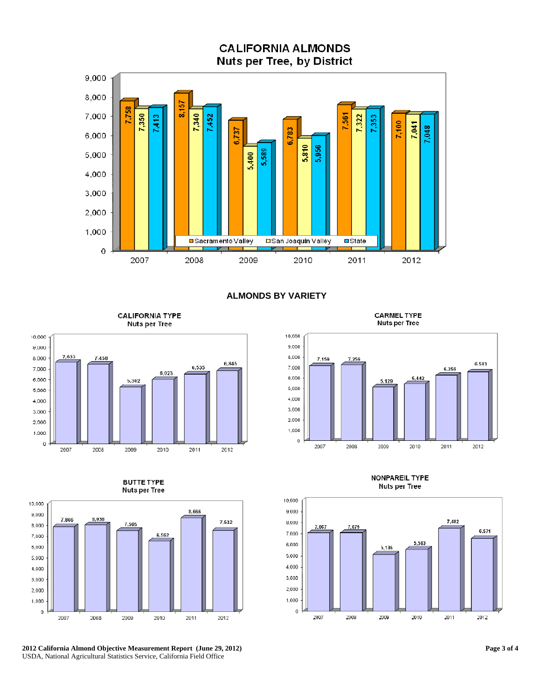**CALIFORNIA ALMONDS Nuts per Tree, by District** 



# **ALMONDS BY VARIETY**

**CALIFORNIA TYPE** Nuts per Tree



**BUTTE TYPE** Nuts per Tree



**2012 California Almond Objective Measurement Report (June 29, 2012)**  USDA, National Agricultural Statistics Service, California Field Office

**CARMEL TYPE** Nuts per Tree



**NONPAREIL TYPE** Nuts per Tree